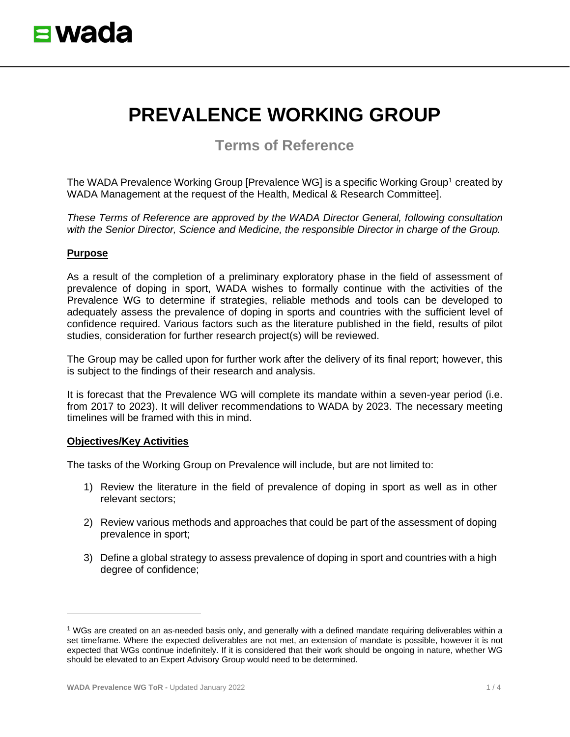# **PREVALENCE WORKING GROUP**

**Terms of Reference**

The WADA Prevalence Working Group [Prevalence WG] is a specific Working Group<sup>[1](#page-0-0)</sup> created by WADA Management at the request of the Health, Medical & Research Committee].

*These Terms of Reference are approved by the WADA Director General, following consultation with the Senior Director, Science and Medicine, the responsible Director in charge of the Group.*

## **Purpose**

As a result of the completion of a preliminary exploratory phase in the field of assessment of prevalence of doping in sport, WADA wishes to formally continue with the activities of the Prevalence WG to determine if strategies, reliable methods and tools can be developed to adequately assess the prevalence of doping in sports and countries with the sufficient level of confidence required. Various factors such as the literature published in the field, results of pilot studies, consideration for further research project(s) will be reviewed.

The Group may be called upon for further work after the delivery of its final report; however, this is subject to the findings of their research and analysis.

It is forecast that the Prevalence WG will complete its mandate within a seven-year period (i.e. from 2017 to 2023). It will deliver recommendations to WADA by 2023. The necessary meeting timelines will be framed with this in mind.

## **Objectives/Key Activities**

The tasks of the Working Group on Prevalence will include, but are not limited to:

- 1) Review the literature in the field of prevalence of doping in sport as well as in other relevant sectors;
- 2) Review various methods and approaches that could be part of the assessment of doping prevalence in sport;
- 3) Define a global strategy to assess prevalence of doping in sport and countries with a high degree of confidence;

<span id="page-0-0"></span><sup>1</sup> WGs are created on an as-needed basis only, and generally with a defined mandate requiring deliverables within a set timeframe. Where the expected deliverables are not met, an extension of mandate is possible, however it is not expected that WGs continue indefinitely. If it is considered that their work should be ongoing in nature, whether WG should be elevated to an Expert Advisory Group would need to be determined.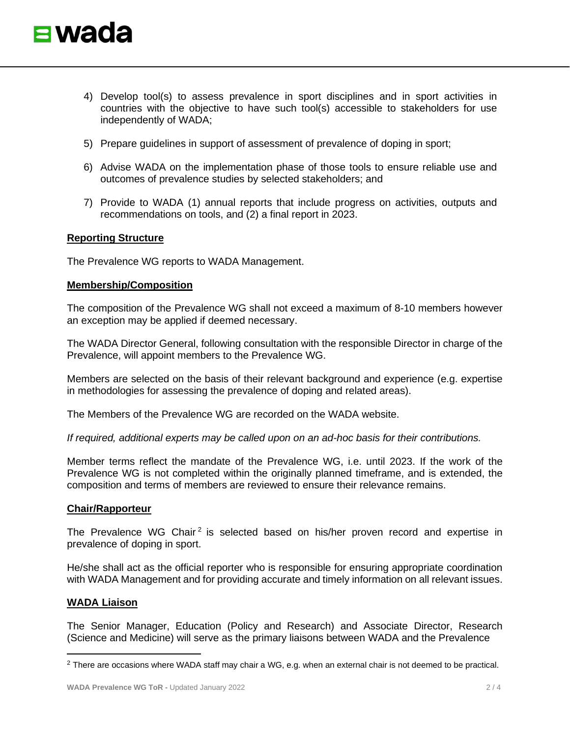

- 4) Develop tool(s) to assess prevalence in sport disciplines and in sport activities in countries with the objective to have such tool(s) accessible to stakeholders for use independently of WADA;
- 5) Prepare guidelines in support of assessment of prevalence of doping in sport;
- 6) Advise WADA on the implementation phase of those tools to ensure reliable use and outcomes of prevalence studies by selected stakeholders; and
- 7) Provide to WADA (1) annual reports that include progress on activities, outputs and recommendations on tools, and (2) a final report in 2023.

### **Reporting Structure**

The Prevalence WG reports to WADA Management.

### **Membership/Composition**

The composition of the Prevalence WG shall not exceed a maximum of 8-10 members however an exception may be applied if deemed necessary.

The WADA Director General, following consultation with the responsible Director in charge of the Prevalence, will appoint members to the Prevalence WG.

Members are selected on the basis of their relevant background and experience (e.g. expertise in methodologies for assessing the prevalence of doping and related areas).

The Members of the Prevalence WG are recorded on the WADA website.

*If required, additional experts may be called upon on an ad-hoc basis for their contributions.*

Member terms reflect the mandate of the Prevalence WG, i.e. until 2023. If the work of the Prevalence WG is not completed within the originally planned timeframe, and is extended, the composition and terms of members are reviewed to ensure their relevance remains.

#### **Chair/Rapporteur**

The Prevalence WG Chair<sup>[2](#page-1-0)</sup> is selected based on his/her proven record and expertise in prevalence of doping in sport.

He/she shall act as the official reporter who is responsible for ensuring appropriate coordination with WADA Management and for providing accurate and timely information on all relevant issues.

#### **WADA Liaison**

The Senior Manager, Education (Policy and Research) and Associate Director, Research (Science and Medicine) will serve as the primary liaisons between WADA and the Prevalence

<span id="page-1-0"></span><sup>&</sup>lt;sup>2</sup> There are occasions where WADA staff may chair a WG, e.g. when an external chair is not deemed to be practical.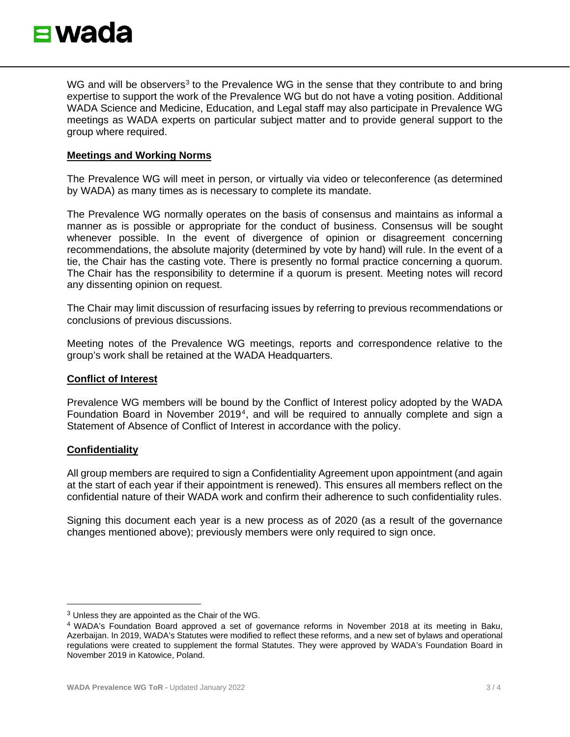

WG and will be observers<sup>[3](#page-2-0)</sup> to the Prevalence WG in the sense that they contribute to and bring expertise to support the work of the Prevalence WG but do not have a voting position. Additional WADA Science and Medicine, Education, and Legal staff may also participate in Prevalence WG meetings as WADA experts on particular subject matter and to provide general support to the group where required.

## **Meetings and Working Norms**

The Prevalence WG will meet in person, or virtually via video or teleconference (as determined by WADA) as many times as is necessary to complete its mandate.

The Prevalence WG normally operates on the basis of consensus and maintains as informal a manner as is possible or appropriate for the conduct of business. Consensus will be sought whenever possible. In the event of divergence of opinion or disagreement concerning recommendations, the absolute majority (determined by vote by hand) will rule. In the event of a tie, the Chair has the casting vote. There is presently no formal practice concerning a quorum. The Chair has the responsibility to determine if a quorum is present. Meeting notes will record any dissenting opinion on request.

The Chair may limit discussion of resurfacing issues by referring to previous recommendations or conclusions of previous discussions.

Meeting notes of the Prevalence WG meetings, reports and correspondence relative to the group's work shall be retained at the WADA Headquarters.

#### **Conflict of Interest**

Prevalence WG members will be bound by the Conflict of Interest policy adopted by the WADA Foundation Board in November 2019<sup>[4](#page-2-1)</sup>, and will be required to annually complete and sign a Statement of Absence of Conflict of Interest in accordance with the policy.

## **Confidentiality**

All group members are required to sign a Confidentiality Agreement upon appointment (and again at the start of each year if their appointment is renewed). This ensures all members reflect on the confidential nature of their WADA work and confirm their adherence to such confidentiality rules.

Signing this document each year is a new process as of 2020 (as a result of the governance changes mentioned above); previously members were only required to sign once.

<span id="page-2-0"></span><sup>3</sup> Unless they are appointed as the Chair of the WG.

<span id="page-2-1"></span><sup>4</sup> WADA's Foundation Board approved a set of governance reforms in November 2018 at its meeting in Baku, Azerbaijan. In 2019, WADA's Statutes were modified to reflect these reforms, and a new set of bylaws and operational regulations were created to supplement the formal Statutes. They were approved by WADA's Foundation Board in November 2019 in Katowice, Poland.